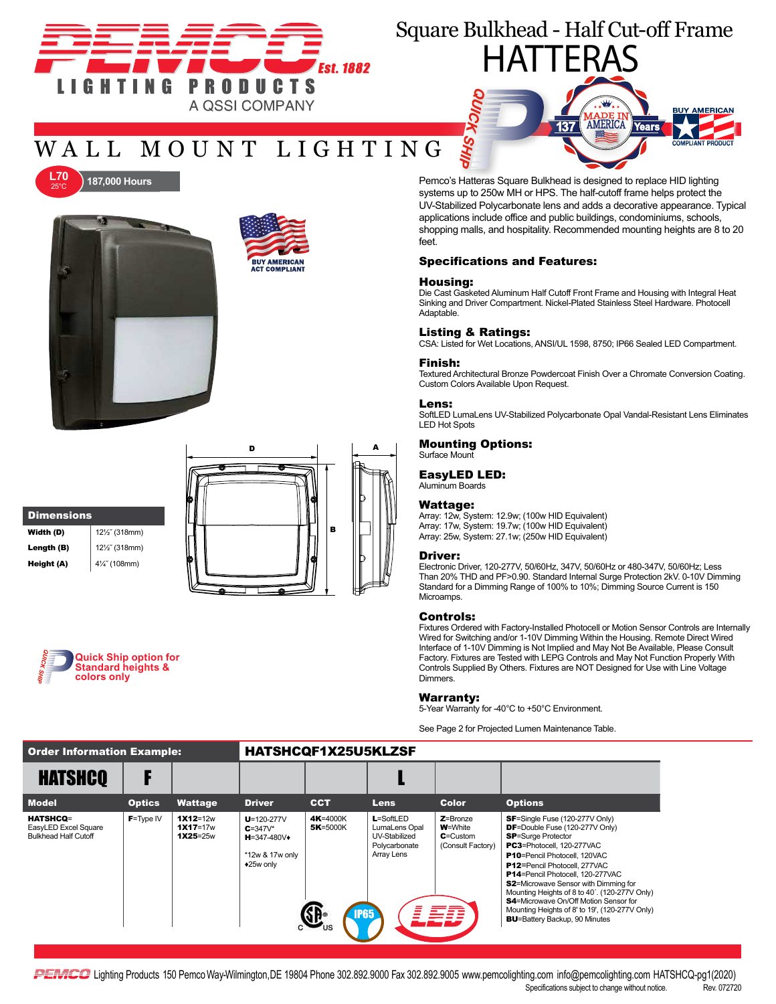

# Square Bulkhead - Half Cut-off Frame

## WALL MOUNT LIGHTING

.<br>BUY AMERICAN<br>ACT COMPLIANT





# **Dimensions**

| Width (D)  | $12\frac{1}{2}$ (318mm) |
|------------|-------------------------|
| Length (B) | 12½" (318mm)            |
| Height (A) | 41/4" (108mm)           |
|            |                         |







Pemco's Hatteras Square Bulkhead is designed to replace HID lighting systems up to 250w MH or HPS. The half-cutoff frame helps protect the UV-Stabilized Polycarbonate lens and adds a decorative appearance. Typical applications include office and public buildings, condominiums, schools, shopping malls, and hospitality. Recommended mounting heights are 8 to 20 feet.

### Specifications and Features:

### Housing:

Die Cast Gasketed Aluminum Half Cutoff Front Frame and Housing with Integral Heat Sinking and Driver Compartment. Nickel-Plated Stainless Steel Hardware. Photocell Adaptable.

#### Listing & Ratings:

SHII

CSA: Listed for Wet Locations, ANSI/UL 1598, 8750; IP66 Sealed LED Compartment.

#### Finish:

Textured Architectural Bronze Powdercoat Finish Over a Chromate Conversion Coating. Custom Colors Available Upon Request.

#### Lens:

SoftLED LumaLens UV-Stabilized Polycarbonate Opal Vandal-Resistant Lens Eliminates LED Hot Spots

#### Mounting Options:

Surface Mount

### EasyLED LED:

Aluminum Boards

#### Wattage:

Array: 12w, System: 12.9w; (100w HID Equivalent) Array: 17w, System: 19.7w; (100w HID Equivalent) Array: 25w, System: 27.1w; (250w HID Equivalent)

#### Driver:

Electronic Driver, 120-277V, 50/60Hz, 347V, 50/60Hz or 480-347V, 50/60Hz; Less Than 20% THD and PF>0.90. Standard Internal Surge Protection 2kV. 0-10V Dimming Standard for a Dimming Range of 100% to 10%; Dimming Source Current is 150 **Microamps** 

#### Controls:

Fixtures Ordered with Factory-Installed Photocell or Motion Sensor Controls are Internally Wired for Switching and/or 1-10V Dimming Within the Housing. Remote Direct Wired Interface of 1-10V Dimming is Not Implied and May Not Be Available, Please Consult Factory. Fixtures are Tested with LEPG Controls and May Not Function Properly With Controls Supplied By Others. Fixtures are NOT Designed for Use with Line Voltage Dimmers.

#### Warranty:

5-Year Warranty for -40°C to +50°C Environment.

See Page 2 for Projected Lumen Maintenance Table.

### Order Information Example: HATSHCQF1X25U5KLZSF

| <b>HATSHCQ</b>                                                         |               |                                            |                                                                                        |                                     |                                                                                |                                                                      |                                                                                                                                                                                                                                                                                                                                                                                                                                                                                                              |
|------------------------------------------------------------------------|---------------|--------------------------------------------|----------------------------------------------------------------------------------------|-------------------------------------|--------------------------------------------------------------------------------|----------------------------------------------------------------------|--------------------------------------------------------------------------------------------------------------------------------------------------------------------------------------------------------------------------------------------------------------------------------------------------------------------------------------------------------------------------------------------------------------------------------------------------------------------------------------------------------------|
| <b>Model</b>                                                           | <b>Optics</b> | <b>Wattage</b>                             | <b>Driver</b>                                                                          | <b>CCT</b>                          | <b>Lens</b>                                                                    | Color                                                                | <b>Options</b>                                                                                                                                                                                                                                                                                                                                                                                                                                                                                               |
| <b>HATSHCQ=</b><br>EasyLED Excel Square<br><b>Bulkhead Half Cutoff</b> | $F = Type IV$ | $1X12=12w$<br>$1X17 = 17w$<br>$1X25 = 25w$ | $U = 120 - 277V$<br>$C = 347V^*$<br>$H = 347 - 480V +$<br>*12w & 17w only<br>◆25w only | 4K=4000K<br>5K=5000K<br><b>IP65</b> | $L = SoftLED$<br>LumaLens Opal<br>UV-Stabilized<br>Polycarbonate<br>Array Lens | $Z =$ Bronze<br><b>W</b> =White<br>$C =$ Custom<br>(Consult Factory) | <b>SF</b> =Single Fuse (120-277V Only)<br><b>DF</b> =Double Fuse (120-277V Only)<br><b>SP</b> =Surge Protector<br>PC3=Photocell, 120-277VAC<br>P10=Pencil Photocell, 120VAC<br><b>P12</b> =Pencil Photocell, 277VAC<br><b>P14</b> =Pencil Photocell. 120-277VAC<br><b>S2</b> =Microwave Sensor with Dimming for<br>Mounting Heights of 8 to 40'. (120-277V Only)<br><b>S4</b> =Microwave On/Off Motion Sensor for<br>Mounting Heights of 8' to 19', (120-277V Only)<br><b>BU</b> =Battery Backup, 90 Minutes |